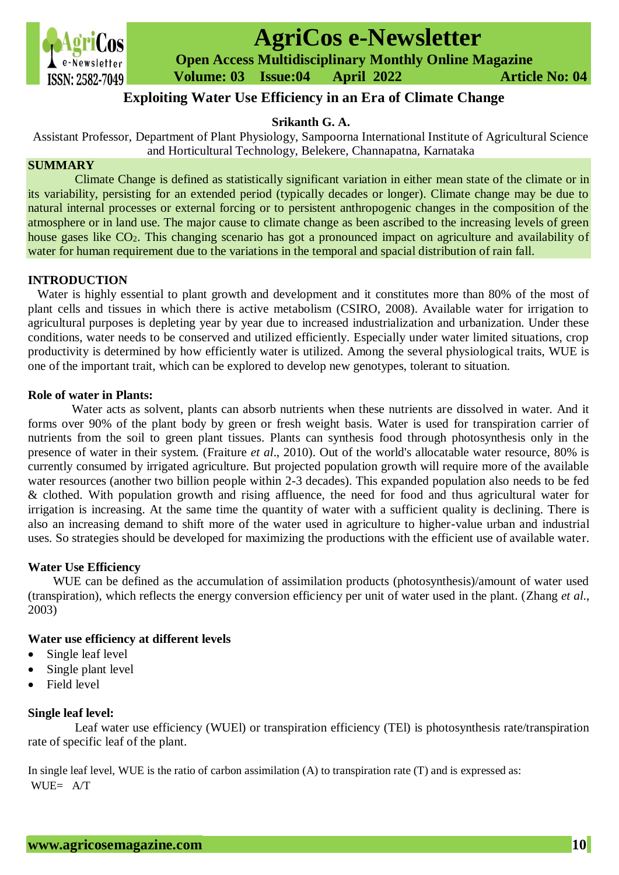

# **AgriCos e-Newsletter**

 **Open Access Multidisciplinary Monthly Online Magazine**

 **ISSN: 2582-7049 Volume: 03 Issue:04 April 2022 Article No: 04** 

## **Exploiting Water Use Efficiency in an Era of Climate Change**

**Srikanth G. A.**

Assistant Professor, Department of Plant Physiology, Sampoorna International Institute of Agricultural Science and Horticultural Technology, Belekere, Channapatna, Karnataka

## **SUMMARY**

Climate Change is defined as statistically significant variation in either mean state of the climate or in its variability, persisting for an extended period (typically decades or longer). Climate change may be due to natural internal processes or external forcing or to persistent anthropogenic changes in the composition of the atmosphere or in land use. The major cause to climate change as been ascribed to the increasing levels of green house gases like CO<sub>2</sub>. This changing scenario has got a pronounced impact on agriculture and availability of water for human requirement due to the variations in the temporal and spacial distribution of rain fall.

## **INTRODUCTION**

Water is highly essential to plant growth and development and it constitutes more than 80% of the most of plant cells and tissues in which there is active metabolism (CSIRO, 2008). Available water for irrigation to agricultural purposes is depleting year by year due to increased industrialization and urbanization. Under these conditions, water needs to be conserved and utilized efficiently. Especially under water limited situations, crop productivity is determined by how efficiently water is utilized. Among the several physiological traits, WUE is one of the important trait, which can be explored to develop new genotypes, tolerant to situation.

## **Role of water in Plants:**

Water acts as solvent, plants can absorb nutrients when these nutrients are dissolved in water. And it forms over 90% of the plant body by green or fresh weight basis. Water is used for transpiration carrier of nutrients from the soil to green plant tissues. Plants can synthesis food through photosynthesis only in the presence of water in their system. (Fraiture *et al*., 2010). Out of the world's allocatable water resource, 80% is currently consumed by irrigated agriculture. But projected population growth will require more of the available water resources (another two billion people within 2-3 decades). This expanded population also needs to be fed & clothed. With population growth and rising affluence, the need for food and thus agricultural water for irrigation is increasing. At the same time the quantity of water with a sufficient quality is declining. There is also an increasing demand to shift more of the water used in agriculture to higher-value urban and industrial uses. So strategies should be developed for maximizing the productions with the efficient use of available water.

## **Water Use Efficiency**

WUE can be defined as the accumulation of assimilation products (photosynthesis)/amount of water used (transpiration), which reflects the energy conversion efficiency per unit of water used in the plant. (Zhang *et al*., 2003)

## **Water use efficiency at different levels**

- Single leaf level
- Single plant level
- Field level

## **Single leaf level:**

Leaf water use efficiency (WUEl) or transpiration efficiency (TEl) is photosynthesis rate/transpiration rate of specific leaf of the plant.

In single leaf level, WUE is the ratio of carbon assimilation (A) to transpiration rate (T) and is expressed as: WUE=  $A/T$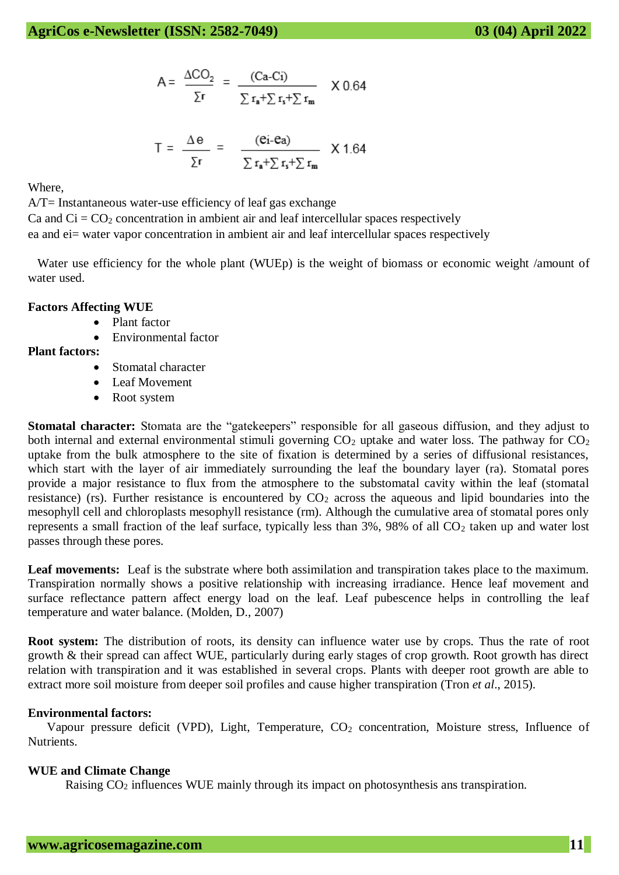$$
A = \frac{\Delta CO_2}{\Sigma r} = \frac{(Ca-Ci)}{\Sigma r_a + \Sigma r_s + \Sigma r_m} \quad \times 0.64
$$

$$
T = \frac{\Delta e}{\Sigma r} = \frac{(ei-ea)}{\Sigma r_a + \Sigma r_s + \Sigma r_m}
$$
X 1.64

Where,

A/T= Instantaneous water-use efficiency of leaf gas exchange

Ca and  $Ci = CO<sub>2</sub>$  concentration in ambient air and leaf intercellular spaces respectively

ea and ei= water vapor concentration in ambient air and leaf intercellular spaces respectively

 Water use efficiency for the whole plant (WUEp) is the weight of biomass or economic weight /amount of water used.

#### **Factors Affecting WUE**

- Plant factor
- Environmental factor

## **Plant factors:**

- Stomatal character
- Leaf Movement
- Root system

**Stomatal character:** Stomata are the "gatekeepers" responsible for all gaseous diffusion, and they adjust to both internal and external environmental stimuli governing  $CO<sub>2</sub>$  uptake and water loss. The pathway for  $CO<sub>2</sub>$ uptake from the bulk atmosphere to the site of fixation is determined by a series of diffusional resistances, which start with the layer of air immediately surrounding the leaf the boundary layer (ra). Stomatal pores provide a major resistance to flux from the atmosphere to the substomatal cavity within the leaf (stomatal resistance) (rs). Further resistance is encountered by  $CO<sub>2</sub>$  across the aqueous and lipid boundaries into the mesophyll cell and chloroplasts mesophyll resistance (rm). Although the cumulative area of stomatal pores only represents a small fraction of the leaf surface, typically less than  $3\%$ , 98% of all CO<sub>2</sub> taken up and water lost passes through these pores.

**Leaf movements:** Leaf is the substrate where both assimilation and transpiration takes place to the maximum. Transpiration normally shows a positive relationship with increasing irradiance. Hence leaf movement and surface reflectance pattern affect energy load on the leaf. Leaf pubescence helps in controlling the leaf temperature and water balance. (Molden, D., 2007)

**Root system:** The distribution of roots, its density can influence water use by crops. Thus the rate of root growth & their spread can affect WUE, particularly during early stages of crop growth. Root growth has direct relation with transpiration and it was established in several crops. Plants with deeper root growth are able to extract more soil moisture from deeper soil profiles and cause higher transpiration (Tron *et al.*, 2015).

## **Environmental factors:**

Vapour pressure deficit (VPD), Light, Temperature, CO<sub>2</sub> concentration, Moisture stress, Influence of Nutrients.

## **WUE and Climate Change**

Raising CO<sub>2</sub> influences WUE mainly through its impact on photosynthesis ans transpiration.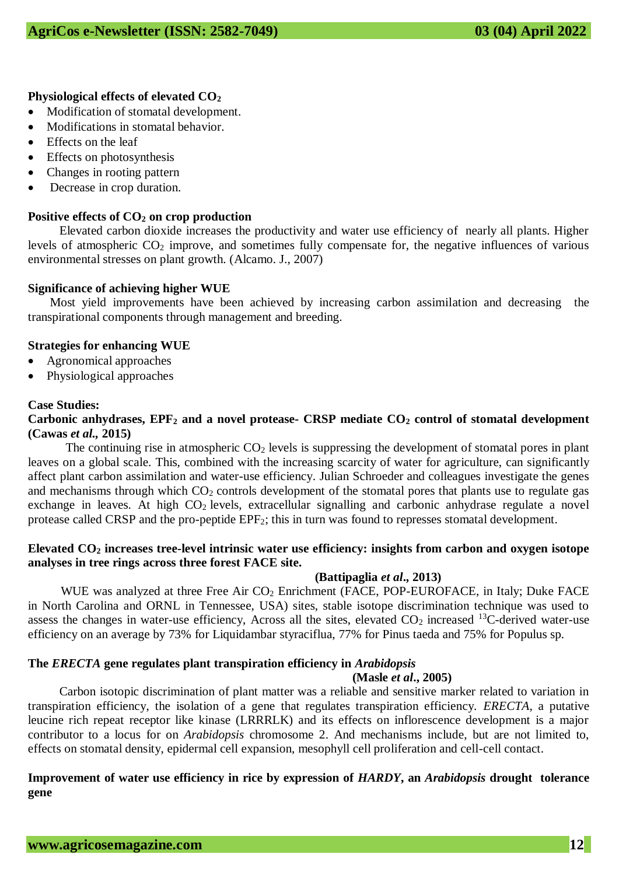## **Physiological effects of elevated CO<sup>2</sup>**

- Modification of stomatal development.
- Modifications in stomatal behavior.
- Effects on the leaf
- Effects on photosynthesis
- Changes in rooting pattern
- Decrease in crop duration.

## **Positive effects of CO<sup>2</sup> on crop production**

 Elevated carbon dioxide increases the productivity and water use efficiency of nearly all plants. Higher levels of atmospheric CO<sub>2</sub> improve, and sometimes fully compensate for, the negative influences of various environmental stresses on plant growth. (Alcamo. J., 2007)

## **Significance of achieving higher WUE**

 Most yield improvements have been achieved by increasing carbon assimilation and decreasing the transpirational components through management and breeding.

## **Strategies for enhancing WUE**

- Agronomical approaches
- Physiological approaches

## **Case Studies:**

## **Carbonic anhydrases, EPF<sup>2</sup> and a novel protease- CRSP mediate CO<sup>2</sup> control of stomatal development (Cawas** *et al.,* **2015)**

The continuing rise in atmospheric  $CO<sub>2</sub>$  levels is suppressing the development of stomatal pores in plant leaves on a global scale. This, combined with the increasing scarcity of water for agriculture, can significantly affect plant carbon assimilation and water-use efficiency. Julian Schroeder and colleagues investigate the genes and mechanisms through which  $CO<sub>2</sub>$  controls development of the stomatal pores that plants use to regulate gas exchange in leaves. At high  $CO<sub>2</sub>$  levels, extracellular signalling and carbonic anhydrase regulate a novel protease called CRSP and the pro-peptide EPF2; this in turn was found to represses stomatal development.

## **Elevated CO<sup>2</sup> increases tree-level intrinsic water use efficiency: insights from carbon and oxygen isotope analyses in tree rings across three forest FACE site.**

## **(Battipaglia** *et al***., 2013)**

WUE was analyzed at three Free Air CO<sub>2</sub> Enrichment (FACE, POP-EUROFACE, in Italy; Duke FACE in North Carolina and ORNL in Tennessee, USA) sites, stable isotope discrimination technique was used to assess the changes in water-use efficiency, Across all the sites, elevated  $CO<sub>2</sub>$  increased  $^{13}$ C-derived water-use efficiency on an average by 73% for Liquidambar styraciflua, 77% for Pinus taeda and 75% for Populus sp.

## **The** *ERECTA* **gene regulates plant transpiration efficiency in** *Arabidopsis*

## **(Masle** *et al***., 2005)**

 Carbon isotopic discrimination of plant matter was a reliable and sensitive marker related to variation in transpiration efficiency, the isolation of a gene that regulates transpiration efficiency. *ERECTA*, a putative leucine rich repeat receptor like kinase (LRRRLK) and its effects on inflorescence development is a major contributor to a locus for on *Arabidopsis* chromosome 2. And mechanisms include, but are not limited to, effects on stomatal density, epidermal cell expansion, mesophyll cell proliferation and cell-cell contact.

## **Improvement of water use efficiency in rice by expression of** *HARDY***, an** *Arabidopsis* **drought tolerance gene**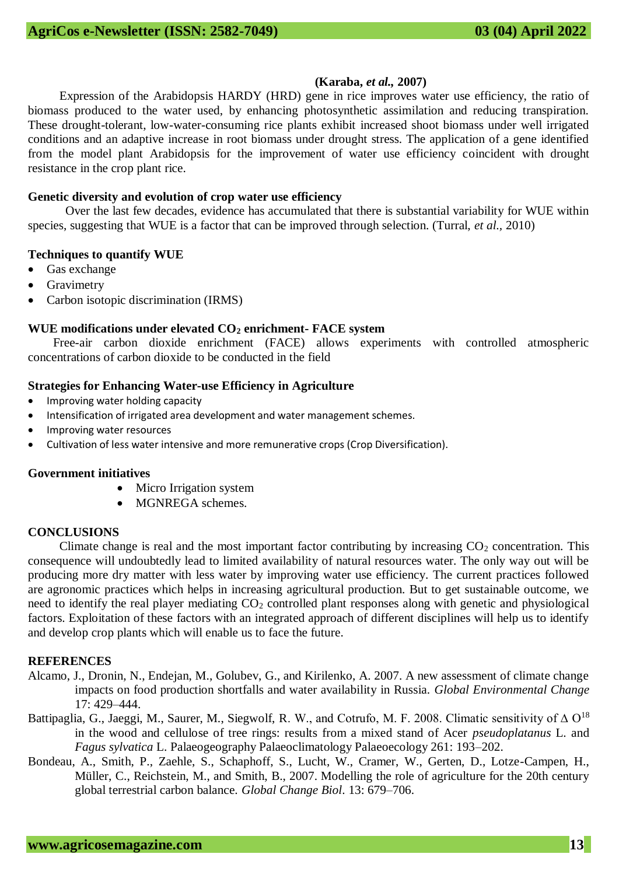#### **(Karaba,** *et al.,* **2007)**

 Expression of the Arabidopsis HARDY (HRD) gene in rice improves water use efficiency, the ratio of biomass produced to the water used, by enhancing photosynthetic assimilation and reducing transpiration. These drought-tolerant, low-water-consuming rice plants exhibit increased shoot biomass under well irrigated conditions and an adaptive increase in root biomass under drought stress. The application of a gene identified from the model plant Arabidopsis for the improvement of water use efficiency coincident with drought resistance in the crop plant rice.

#### **Genetic diversity and evolution of crop water use efficiency**

Over the last few decades, evidence has accumulated that there is substantial variability for WUE within species, suggesting that WUE is a factor that can be improved through selection. (Turral, *et al.,* 2010)

#### **Techniques to quantify WUE**

- Gas exchange
- Gravimetry
- Carbon isotopic discrimination (IRMS)

#### **WUE modifications under elevated CO<sup>2</sup> enrichment- FACE system**

 Free-air carbon dioxide enrichment (FACE) allows experiments with controlled atmospheric concentrations of carbon dioxide to be conducted in the field

#### **Strategies for Enhancing Water-use Efficiency in Agriculture**

- Improving water holding capacity
- Intensification of irrigated area development and water management schemes.
- Improving water resources
- Cultivation of less water intensive and more remunerative crops (Crop Diversification).

#### **Government initiatives**

- Micro Irrigation system
- MGNREGA schemes

#### **CONCLUSIONS**

Climate change is real and the most important factor contributing by increasing  $CO<sub>2</sub>$  concentration. This consequence will undoubtedly lead to limited availability of natural resources water. The only way out will be producing more dry matter with less water by improving water use efficiency. The current practices followed are agronomic practices which helps in increasing agricultural production. But to get sustainable outcome, we need to identify the real player mediating  $CO<sub>2</sub>$  controlled plant responses along with genetic and physiological factors. Exploitation of these factors with an integrated approach of different disciplines will help us to identify and develop crop plants which will enable us to face the future.

## **REFERENCES**

- Alcamo, J., Dronin, N., Endejan, M., Golubev, G., and Kirilenko, A. 2007. A new assessment of climate change impacts on food production shortfalls and water availability in Russia. *Global Environmental Change* 17: 429–444.
- Battipaglia, G., Jaeggi, M., Saurer, M., Siegwolf, R. W., and Cotrufo, M. F. 2008. Climatic sensitivity of  $\Delta$  O<sup>18</sup> in the wood and cellulose of tree rings: results from a mixed stand of Acer *pseudoplatanus* L. and *Fagus sylvatica* L. Palaeogeography Palaeoclimatology Palaeoecology 261: 193–202.
- Bondeau, A., Smith, P., Zaehle, S., Schaphoff, S., Lucht, W., Cramer, W., Gerten, D., Lotze-Campen, H., Müller, C., Reichstein, M., and Smith, B., 2007. Modelling the role of agriculture for the 20th century global terrestrial carbon balance. *Global Change Biol*. 13: 679–706.